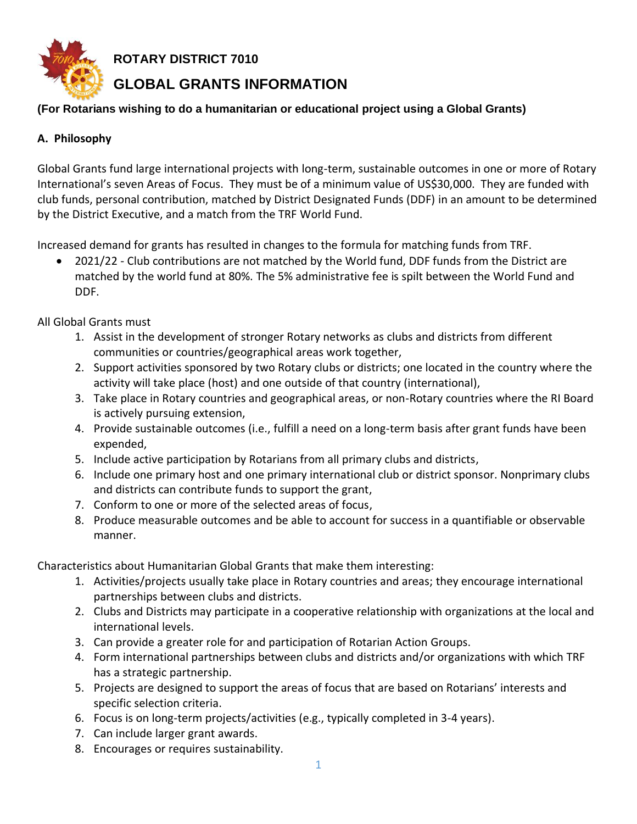

**ROTARY DISTRICT 7010**

# **GLOBAL GRANTS INFORMATION**

## **(For Rotarians wishing to do a humanitarian or educational project using a Global Grants)**

# **A. Philosophy**

Global Grants fund large international projects with long-term, sustainable outcomes in one or more of Rotary International's seven Areas of Focus. They must be of a minimum value of US\$30,000. They are funded with club funds, personal contribution, matched by District Designated Funds (DDF) in an amount to be determined by the District Executive, and a match from the TRF World Fund.

Increased demand for grants has resulted in changes to the formula for matching funds from TRF.

• 2021/22 - Club contributions are not matched by the World fund, DDF funds from the District are matched by the world fund at 80%. The 5% administrative fee is spilt between the World Fund and DDF.

All Global Grants must

- 1. Assist in the development of stronger Rotary networks as clubs and districts from different communities or countries/geographical areas work together,
- 2. Support activities sponsored by two Rotary clubs or districts; one located in the country where the activity will take place (host) and one outside of that country (international),
- 3. Take place in Rotary countries and geographical areas, or non-Rotary countries where the RI Board is actively pursuing extension,
- 4. Provide sustainable outcomes (i.e., fulfill a need on a long-term basis after grant funds have been expended,
- 5. Include active participation by Rotarians from all primary clubs and districts,
- 6. Include one primary host and one primary international club or district sponsor. Nonprimary clubs and districts can contribute funds to support the grant,
- 7. Conform to one or more of the selected areas of focus,
- 8. Produce measurable outcomes and be able to account for success in a quantifiable or observable manner.

Characteristics about Humanitarian Global Grants that make them interesting:

- 1. Activities/projects usually take place in Rotary countries and areas; they encourage international partnerships between clubs and districts.
- 2. Clubs and Districts may participate in a cooperative relationship with organizations at the local and international levels.
- 3. Can provide a greater role for and participation of Rotarian Action Groups.
- 4. Form international partnerships between clubs and districts and/or organizations with which TRF has a strategic partnership.
- 5. Projects are designed to support the areas of focus that are based on Rotarians' interests and specific selection criteria.
- 6. Focus is on long-term projects/activities (e.g., typically completed in 3-4 years).
- 7. Can include larger grant awards.
- 8. Encourages or requires sustainability.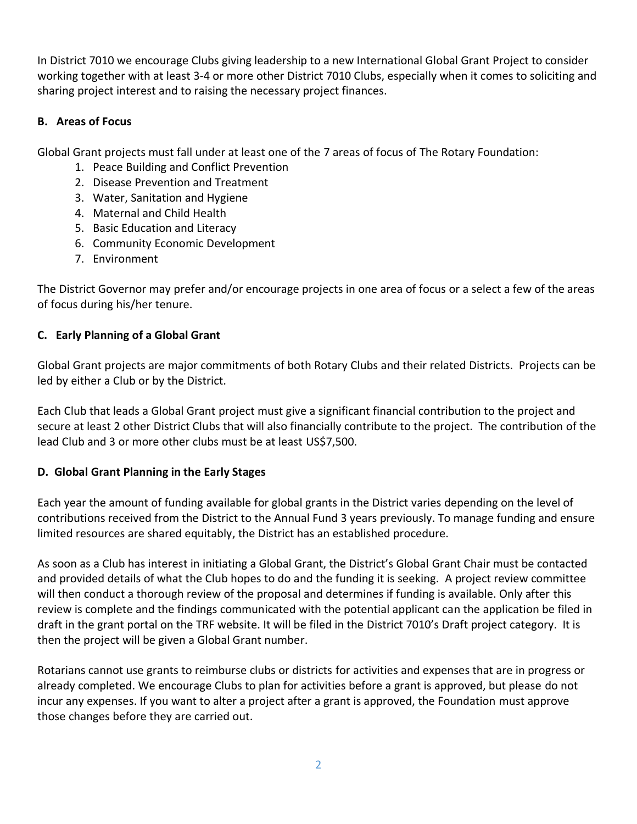In District 7010 we encourage Clubs giving leadership to a new International Global Grant Project to consider working together with at least 3-4 or more other District 7010 Clubs, especially when it comes to soliciting and sharing project interest and to raising the necessary project finances.

#### **B. Areas of Focus**

Global Grant projects must fall under at least one of the 7 areas of focus of The Rotary Foundation:

- 1. Peace Building and Conflict Prevention
- 2. Disease Prevention and Treatment
- 3. Water, Sanitation and Hygiene
- 4. Maternal and Child Health
- 5. Basic Education and Literacy
- 6. Community Economic Development
- 7. Environment

The District Governor may prefer and/or encourage projects in one area of focus or a select a few of the areas of focus during his/her tenure.

# **C. Early Planning of a Global Grant**

Global Grant projects are major commitments of both Rotary Clubs and their related Districts. Projects can be led by either a Club or by the District.

Each Club that leads a Global Grant project must give a significant financial contribution to the project and secure at least 2 other District Clubs that will also financially contribute to the project. The contribution of the lead Club and 3 or more other clubs must be at least US\$7,500.

# **D. Global Grant Planning in the Early Stages**

Each year the amount of funding available for global grants in the District varies depending on the level of contributions received from the District to the Annual Fund 3 years previously. To manage funding and ensure limited resources are shared equitably, the District has an established procedure.

As soon as a Club has interest in initiating a Global Grant, the District's Global Grant Chair must be contacted and provided details of what the Club hopes to do and the funding it is seeking. A project review committee will then conduct a thorough review of the proposal and determines if funding is available. Only after this review is complete and the findings communicated with the potential applicant can the application be filed in draft in the grant portal on the TRF website. It will be filed in the District 7010's Draft project category. It is then the project will be given a Global Grant number.

Rotarians cannot use grants to reimburse clubs or districts for activities and expenses that are in progress or already completed. We encourage Clubs to plan for activities before a grant is approved, but please do not incur any expenses. If you want to alter a project after a grant is approved, the Foundation must approve those changes before they are carried out.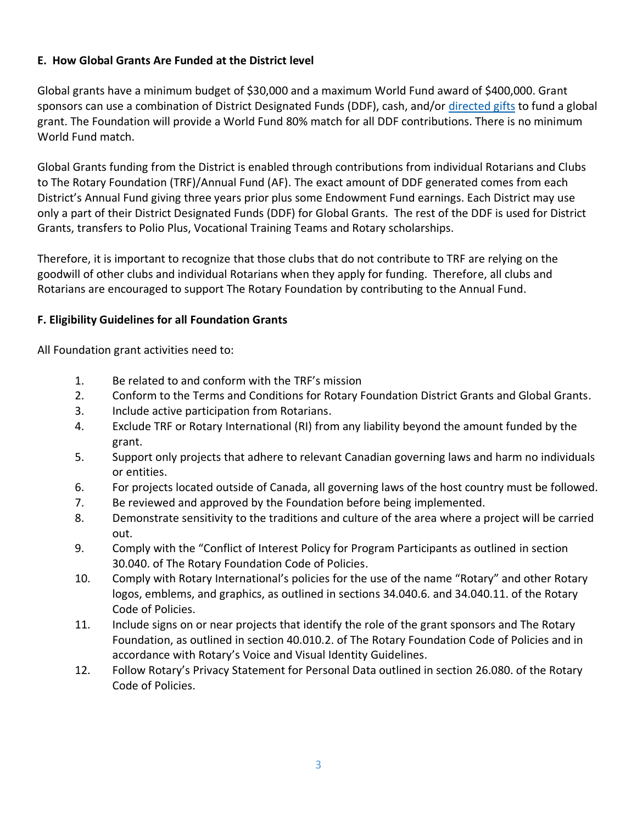#### **E. How Global Grants Are Funded at the District level**

Global grants have a minimum budget of \$30,000 and a maximum World Fund award of \$400,000. Grant sponsors can use a combination of District Designated Funds (DDF), cash, and/or [directed gifts](https://my-cms.rotary.org/en/document/endowed-and-directed-gifts-global-grants-faq) to fund a global grant. The Foundation will provide a World Fund 80% match for all DDF contributions. There is no minimum World Fund match.

Global Grants funding from the District is enabled through contributions from individual Rotarians and Clubs to The Rotary Foundation (TRF)/Annual Fund (AF). The exact amount of DDF generated comes from each District's Annual Fund giving three years prior plus some Endowment Fund earnings. Each District may use only a part of their District Designated Funds (DDF) for Global Grants. The rest of the DDF is used for District Grants, transfers to Polio Plus, Vocational Training Teams and Rotary scholarships.

Therefore, it is important to recognize that those clubs that do not contribute to TRF are relying on the goodwill of other clubs and individual Rotarians when they apply for funding. Therefore, all clubs and Rotarians are encouraged to support The Rotary Foundation by contributing to the Annual Fund.

#### **F. Eligibility Guidelines for all Foundation Grants**

All Foundation grant activities need to:

- 1. Be related to and conform with the TRF's mission
- 2. Conform to the Terms and Conditions for Rotary Foundation District Grants and Global Grants.
- 3. Include active participation from Rotarians.
- 4. Exclude TRF or Rotary International (RI) from any liability beyond the amount funded by the grant.
- 5. Support only projects that adhere to relevant Canadian governing laws and harm no individuals or entities.
- 6. For projects located outside of Canada, all governing laws of the host country must be followed.
- 7. Be reviewed and approved by the Foundation before being implemented.
- 8. Demonstrate sensitivity to the traditions and culture of the area where a project will be carried out.
- 9. Comply with the "Conflict of Interest Policy for Program Participants as outlined in section 30.040. of The Rotary Foundation Code of Policies.
- 10. Comply with Rotary International's policies for the use of the name "Rotary" and other Rotary logos, emblems, and graphics, as outlined in sections 34.040.6. and 34.040.11. of the Rotary Code of Policies.
- 11. Include signs on or near projects that identify the role of the grant sponsors and The Rotary Foundation, as outlined in section 40.010.2. of The Rotary Foundation Code of Policies and in accordance with Rotary's Voice and Visual Identity Guidelines.
- 12. Follow Rotary's Privacy Statement for Personal Data outlined in section 26.080. of the Rotary Code of Policies.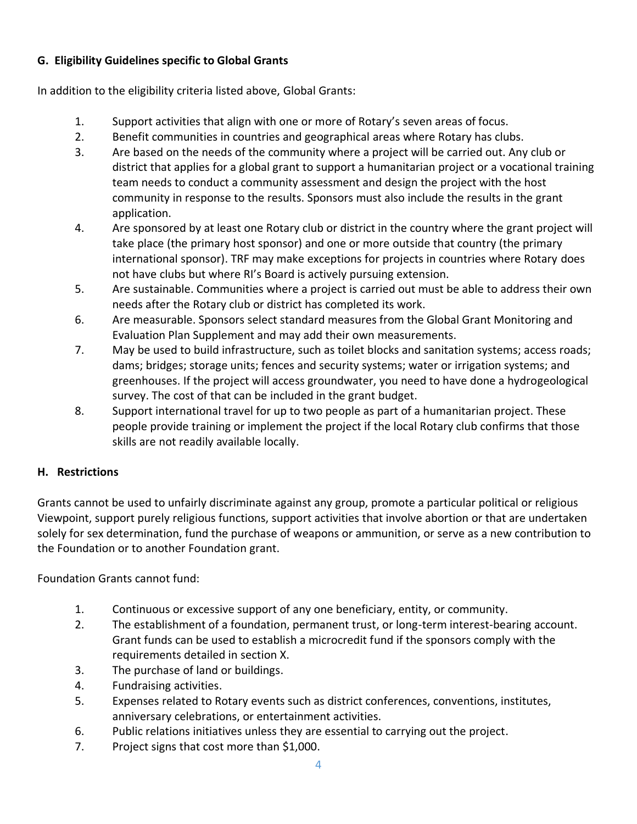# **G. Eligibility Guidelines specific to Global Grants**

In addition to the eligibility criteria listed above, Global Grants:

- 1. Support activities that align with one or more of Rotary's seven areas of focus.
- 2. Benefit communities in countries and geographical areas where Rotary has clubs.
- 3. Are based on the needs of the community where a project will be carried out. Any club or district that applies for a global grant to support a humanitarian project or a vocational training team needs to conduct a community assessment and design the project with the host community in response to the results. Sponsors must also include the results in the grant application.
- 4. Are sponsored by at least one Rotary club or district in the country where the grant project will take place (the primary host sponsor) and one or more outside that country (the primary international sponsor). TRF may make exceptions for projects in countries where Rotary does not have clubs but where RI's Board is actively pursuing extension.
- 5. Are sustainable. Communities where a project is carried out must be able to address their own needs after the Rotary club or district has completed its work.
- 6. Are measurable. Sponsors select standard measures from the Global Grant Monitoring and Evaluation Plan Supplement and may add their own measurements.
- 7. May be used to build infrastructure, such as toilet blocks and sanitation systems; access roads; dams; bridges; storage units; fences and security systems; water or irrigation systems; and greenhouses. If the project will access groundwater, you need to have done a hydrogeological survey. The cost of that can be included in the grant budget.
- 8. Support international travel for up to two people as part of a humanitarian project. These people provide training or implement the project if the local Rotary club confirms that those skills are not readily available locally.

# **H. Restrictions**

Grants cannot be used to unfairly discriminate against any group, promote a particular political or religious Viewpoint, support purely religious functions, support activities that involve abortion or that are undertaken solely for sex determination, fund the purchase of weapons or ammunition, or serve as a new contribution to the Foundation or to another Foundation grant.

Foundation Grants cannot fund:

- 1. Continuous or excessive support of any one beneficiary, entity, or community.
- 2. The establishment of a foundation, permanent trust, or long-term interest-bearing account. Grant funds can be used to establish a microcredit fund if the sponsors comply with the requirements detailed in section X.
- 3. The purchase of land or buildings.
- 4. Fundraising activities.
- 5. Expenses related to Rotary events such as district conferences, conventions, institutes, anniversary celebrations, or entertainment activities.
- 6. Public relations initiatives unless they are essential to carrying out the project.
- 7. Project signs that cost more than \$1,000.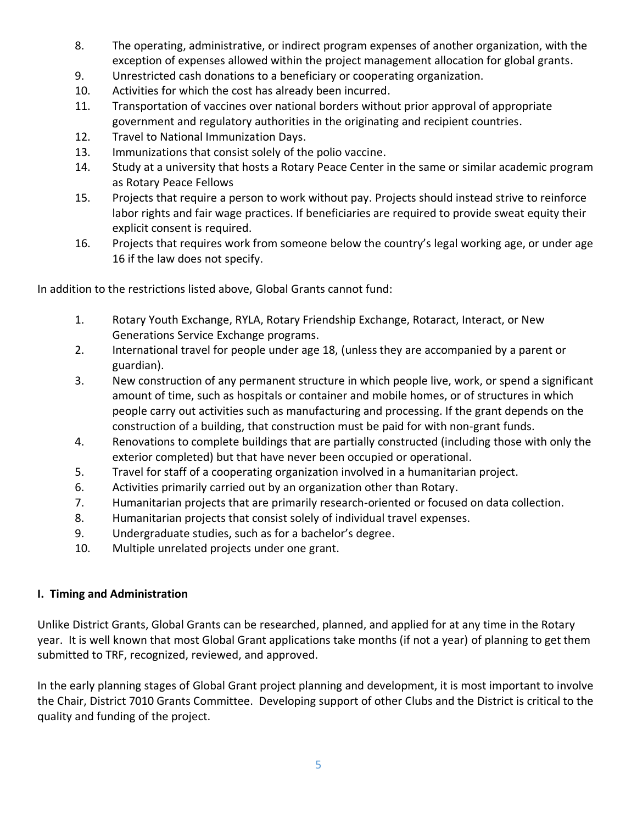- 8. The operating, administrative, or indirect program expenses of another organization, with the exception of expenses allowed within the project management allocation for global grants.
- 9. Unrestricted cash donations to a beneficiary or cooperating organization.
- 10. Activities for which the cost has already been incurred.
- 11. Transportation of vaccines over national borders without prior approval of appropriate government and regulatory authorities in the originating and recipient countries.
- 12. Travel to National Immunization Days.
- 13. Immunizations that consist solely of the polio vaccine.
- 14. Study at a university that hosts a Rotary Peace Center in the same or similar academic program as Rotary Peace Fellows
- 15. Projects that require a person to work without pay. Projects should instead strive to reinforce labor rights and fair wage practices. If beneficiaries are required to provide sweat equity their explicit consent is required.
- 16. Projects that requires work from someone below the country's legal working age, or under age 16 if the law does not specify.

In addition to the restrictions listed above, Global Grants cannot fund:

- 1. Rotary Youth Exchange, RYLA, Rotary Friendship Exchange, Rotaract, Interact, or New Generations Service Exchange programs.
- 2. International travel for people under age 18, (unless they are accompanied by a parent or guardian).
- 3. New construction of any permanent structure in which people live, work, or spend a significant amount of time, such as hospitals or container and mobile homes, or of structures in which people carry out activities such as manufacturing and processing. If the grant depends on the construction of a building, that construction must be paid for with non-grant funds.
- 4. Renovations to complete buildings that are partially constructed (including those with only the exterior completed) but that have never been occupied or operational.
- 5. Travel for staff of a cooperating organization involved in a humanitarian project.
- 6. Activities primarily carried out by an organization other than Rotary.
- 7. Humanitarian projects that are primarily research-oriented or focused on data collection.
- 8. Humanitarian projects that consist solely of individual travel expenses.
- 9. Undergraduate studies, such as for a bachelor's degree.
- 10. Multiple unrelated projects under one grant.

#### **I. Timing and Administration**

Unlike District Grants, Global Grants can be researched, planned, and applied for at any time in the Rotary year. It is well known that most Global Grant applications take months (if not a year) of planning to get them submitted to TRF, recognized, reviewed, and approved.

In the early planning stages of Global Grant project planning and development, it is most important to involve the Chair, District 7010 Grants Committee. Developing support of other Clubs and the District is critical to the quality and funding of the project.